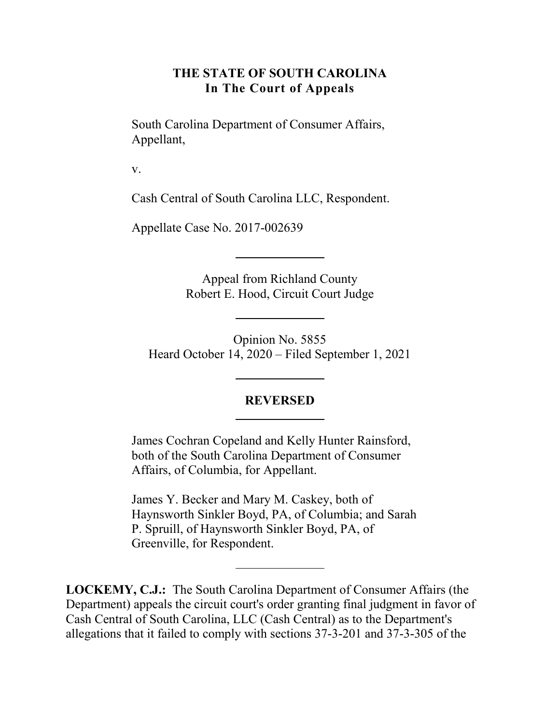#### **THE STATE OF SOUTH CAROLINA In The Court of Appeals**

South Carolina Department of Consumer Affairs, Appellant,

v.

Cash Central of South Carolina LLC, Respondent.

Appellate Case No. 2017-002639

Appeal from Richland County Robert E. Hood, Circuit Court Judge

Opinion No. 5855 Heard October 14, 2020 – Filed September 1, 2021

#### **REVERSED**

James Cochran Copeland and Kelly Hunter Rainsford, both of the South Carolina Department of Consumer Affairs, of Columbia, for Appellant.

James Y. Becker and Mary M. Caskey, both of Haynsworth Sinkler Boyd, PA, of Columbia; and Sarah P. Spruill, of Haynsworth Sinkler Boyd, PA, of Greenville, for Respondent.

**LOCKEMY, C.J.:** The South Carolina Department of Consumer Affairs (the Department) appeals the circuit court's order granting final judgment in favor of Cash Central of South Carolina, LLC (Cash Central) as to the Department's allegations that it failed to comply with sections 37-3-201 and 37-3-305 of the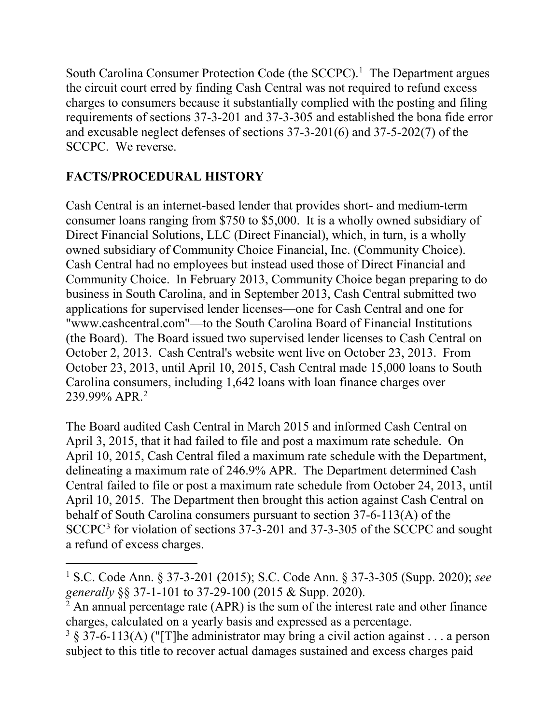South Carolina Consumer Protection Code (the  $SCCPC$ ).<sup>[1](#page-1-0)</sup> The Department argues the circuit court erred by finding Cash Central was not required to refund excess charges to consumers because it substantially complied with the posting and filing requirements of sections 37-3-201 and 37-3-305 and established the bona fide error and excusable neglect defenses of sections 37-3-201(6) and 37-5-202(7) of the SCCPC. We reverse.

# **FACTS/PROCEDURAL HISTORY**

 $\overline{a}$ 

Cash Central is an internet-based lender that provides short- and medium-term consumer loans ranging from \$750 to \$5,000. It is a wholly owned subsidiary of Direct Financial Solutions, LLC (Direct Financial), which, in turn, is a wholly owned subsidiary of Community Choice Financial, Inc. (Community Choice). Cash Central had no employees but instead used those of Direct Financial and Community Choice. In February 2013, Community Choice began preparing to do business in South Carolina, and in September 2013, Cash Central submitted two applications for supervised lender licenses—one for Cash Central and one for "www.cashcentral.com"—to the South Carolina Board of Financial Institutions (the Board). The Board issued two supervised lender licenses to Cash Central on October 2, 2013. Cash Central's website went live on October 23, 2013. From October 23, 2013, until April 10, 2015, Cash Central made 15,000 loans to South Carolina consumers, including 1,642 loans with loan finance charges over 239.99% APR.[2](#page-1-1)

The Board audited Cash Central in March 2015 and informed Cash Central on April 3, 2015, that it had failed to file and post a maximum rate schedule. On April 10, 2015, Cash Central filed a maximum rate schedule with the Department, delineating a maximum rate of 246.9% APR. The Department determined Cash Central failed to file or post a maximum rate schedule from October 24, 2013, until April 10, 2015. The Department then brought this action against Cash Central on behalf of South Carolina consumers pursuant to section 37-6-113(A) of the SCCPC<sup>[3](#page-1-2)</sup> for violation of sections 37-3-201 and 37-3-305 of the SCCPC and sought a refund of excess charges.

<span id="page-1-0"></span><sup>1</sup> S.C. Code Ann. § 37-3-201 (2015); S.C. Code Ann. § 37-3-305 (Supp. 2020); *see*  generally §§ 37-1-101 to 37-29-100 (2015 & Supp. 2020).<br><sup>2</sup> An annual percentage rate (APR) is the sum of the interest rate and other finance

<span id="page-1-1"></span>charges, calculated on a yearly basis and expressed as a percentage.

<span id="page-1-2"></span><sup>&</sup>lt;sup>3</sup> § 37-6-113(A) ("[T]he administrator may bring a civil action against . . . a person subject to this title to recover actual damages sustained and excess charges paid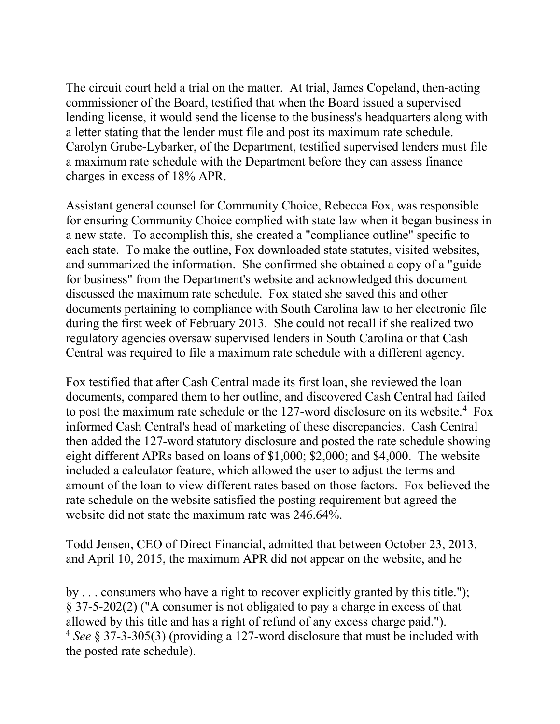The circuit court held a trial on the matter. At trial, James Copeland, then-acting commissioner of the Board, testified that when the Board issued a supervised lending license, it would send the license to the business's headquarters along with a letter stating that the lender must file and post its maximum rate schedule. Carolyn Grube-Lybarker, of the Department, testified supervised lenders must file a maximum rate schedule with the Department before they can assess finance charges in excess of 18% APR.

Assistant general counsel for Community Choice, Rebecca Fox, was responsible for ensuring Community Choice complied with state law when it began business in a new state. To accomplish this, she created a "compliance outline" specific to each state. To make the outline, Fox downloaded state statutes, visited websites, and summarized the information. She confirmed she obtained a copy of a "guide for business" from the Department's website and acknowledged this document discussed the maximum rate schedule. Fox stated she saved this and other documents pertaining to compliance with South Carolina law to her electronic file during the first week of February 2013. She could not recall if she realized two regulatory agencies oversaw supervised lenders in South Carolina or that Cash Central was required to file a maximum rate schedule with a different agency.

Fox testified that after Cash Central made its first loan, she reviewed the loan documents, compared them to her outline, and discovered Cash Central had failed to post the maximum rate schedule or the 127-word disclosure on its website. [4](#page-2-0) Fox informed Cash Central's head of marketing of these discrepancies. Cash Central then added the 127-word statutory disclosure and posted the rate schedule showing eight different APRs based on loans of \$1,000; \$2,000; and \$4,000. The website included a calculator feature, which allowed the user to adjust the terms and amount of the loan to view different rates based on those factors. Fox believed the rate schedule on the website satisfied the posting requirement but agreed the website did not state the maximum rate was 246.64%.

Todd Jensen, CEO of Direct Financial, admitted that between October 23, 2013, and April 10, 2015, the maximum APR did not appear on the website, and he

 $\overline{a}$ by . . . consumers who have a right to recover explicitly granted by this title."); § 37-5-202(2) ("A consumer is not obligated to pay a charge in excess of that allowed by this title and has a right of refund of any excess charge paid.").

<span id="page-2-0"></span><sup>4</sup> *See* § 37-3-305(3) (providing a 127-word disclosure that must be included with the posted rate schedule).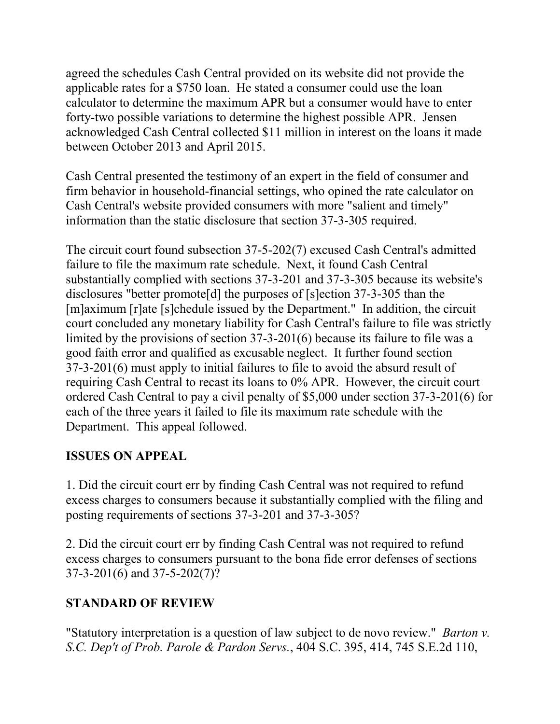agreed the schedules Cash Central provided on its website did not provide the applicable rates for a \$750 loan. He stated a consumer could use the loan calculator to determine the maximum APR but a consumer would have to enter forty-two possible variations to determine the highest possible APR. Jensen acknowledged Cash Central collected \$11 million in interest on the loans it made between October 2013 and April 2015.

Cash Central presented the testimony of an expert in the field of consumer and firm behavior in household-financial settings, who opined the rate calculator on Cash Central's website provided consumers with more "salient and timely" information than the static disclosure that section 37-3-305 required.

The circuit court found subsection 37-5-202(7) excused Cash Central's admitted failure to file the maximum rate schedule. Next, it found Cash Central substantially complied with sections 37-3-201 and 37-3-305 because its website's disclosures "better promote<sup>[d]</sup> the purposes of [s]ection 37-3-305 than the [m]aximum [r]ate [s]chedule issued by the Department." In addition, the circuit court concluded any monetary liability for Cash Central's failure to file was strictly limited by the provisions of section 37-3-201(6) because its failure to file was a good faith error and qualified as excusable neglect. It further found section 37-3-201(6) must apply to initial failures to file to avoid the absurd result of requiring Cash Central to recast its loans to 0% APR. However, the circuit court ordered Cash Central to pay a civil penalty of \$5,000 under section 37-3-201(6) for each of the three years it failed to file its maximum rate schedule with the Department. This appeal followed.

## **ISSUES ON APPEAL**

1. Did the circuit court err by finding Cash Central was not required to refund excess charges to consumers because it substantially complied with the filing and posting requirements of sections 37-3-201 and 37-3-305?

2. Did the circuit court err by finding Cash Central was not required to refund excess charges to consumers pursuant to the bona fide error defenses of sections 37-3-201(6) and 37-5-202(7)?

## **STANDARD OF REVIEW**

"Statutory interpretation is a question of law subject to de novo review." *Barton v. S.C. Dep't of Prob. Parole & Pardon Servs.*, 404 S.C. 395, 414, 745 S.E.2d 110,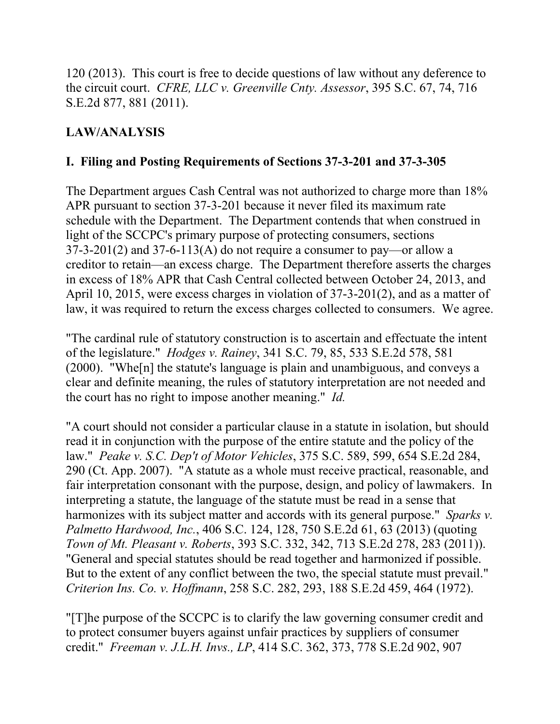120 (2013). This court is free to decide questions of law without any deference to the circuit court. *CFRE, LLC v. Greenville Cnty. Assessor*, 395 S.C. 67, 74, 716 S.E.2d 877, 881 (2011).

# **LAW/ANALYSIS**

#### **I. Filing and Posting Requirements of Sections 37-3-201 and 37-3-305**

The Department argues Cash Central was not authorized to charge more than 18% APR pursuant to section 37-3-201 because it never filed its maximum rate schedule with the Department. The Department contends that when construed in light of the SCCPC's primary purpose of protecting consumers, sections  $37-3-201(2)$  and  $37-6-113(A)$  do not require a consumer to pay—or allow a creditor to retain—an excess charge. The Department therefore asserts the charges in excess of 18% APR that Cash Central collected between October 24, 2013, and April 10, 2015, were excess charges in violation of 37-3-201(2), and as a matter of law, it was required to return the excess charges collected to consumers. We agree.

"The cardinal rule of statutory construction is to ascertain and effectuate the intent of the legislature." *Hodges v. Rainey*, 341 S.C. 79, 85, 533 S.E.2d 578, 581 (2000). "Whe[n] the statute's language is plain and unambiguous, and conveys a clear and definite meaning, the rules of statutory interpretation are not needed and the court has no right to impose another meaning." *Id.*

"A court should not consider a particular clause in a statute in isolation, but should read it in conjunction with the purpose of the entire statute and the policy of the law." *Peake v. S.C. Dep't of Motor Vehicles*, 375 S.C. 589, 599, 654 S.E.2d 284, 290 (Ct. App. 2007). "A statute as a whole must receive practical, reasonable, and fair interpretation consonant with the purpose, design, and policy of lawmakers. In interpreting a statute, the language of the statute must be read in a sense that harmonizes with its subject matter and accords with its general purpose." *Sparks v. Palmetto Hardwood, Inc.*, 406 S.C. 124, 128, 750 S.E.2d 61, 63 (2013) (quoting *Town of Mt. Pleasant v. Roberts*, 393 S.C. 332, 342, 713 S.E.2d 278, 283 (2011)). "General and special statutes should be read together and harmonized if possible. But to the extent of any conflict between the two, the special statute must prevail." *Criterion Ins. Co. v. Hoffmann*, 258 S.C. 282, 293, 188 S.E.2d 459, 464 (1972).

"[T]he purpose of the SCCPC is to clarify the law governing consumer credit and to protect consumer buyers against unfair practices by suppliers of consumer credit." *Freeman v. J.L.H. Invs., LP*, 414 S.C. 362, 373, 778 S.E.2d 902, 907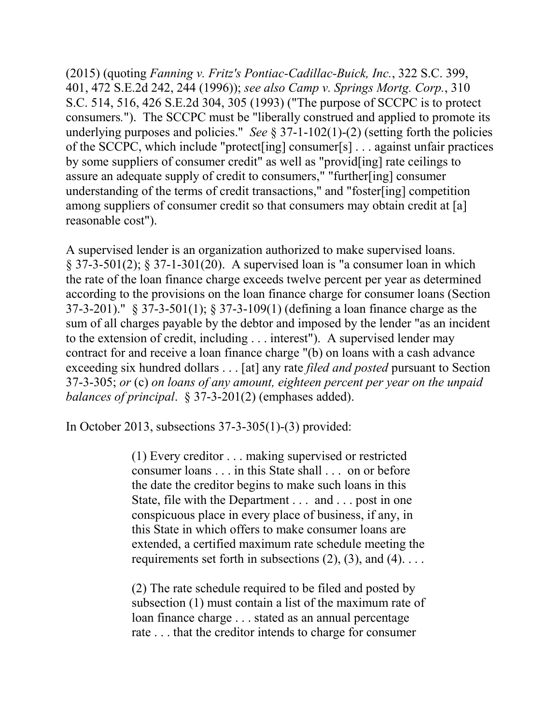(2015) (quoting *Fanning v. Fritz's Pontiac-Cadillac-Buick, Inc.*, 322 S.C. 399, 401, 472 S.E.2d 242, 244 (1996)); *see also Camp v. Springs Mortg. Corp.*, 310 S.C. 514, 516, 426 S.E.2d 304, 305 (1993) ("The purpose of SCCPC is to protect consumers*.*"). The SCCPC must be "liberally construed and applied to promote its underlying purposes and policies." *See* § 37-1-102(1)-(2) (setting forth the policies of the SCCPC, which include "protect[ing] consumer[s] . . . against unfair practices by some suppliers of consumer credit" as well as "provid[ing] rate ceilings to assure an adequate supply of credit to consumers," "further[ing] consumer understanding of the terms of credit transactions," and "foster[ing] competition among suppliers of consumer credit so that consumers may obtain credit at [a] reasonable cost").

A supervised lender is an organization authorized to make supervised loans.  $\S 37-3-501(2)$ ;  $\S 37-1-301(20)$ . A supervised loan is "a consumer loan in which the rate of the loan finance charge exceeds twelve percent per year as determined according to the provisions on the loan finance charge for consumer loans (Section 37-3-201)." § 37-3-501(1); § 37-3-109(1) (defining a loan finance charge as the sum of all charges payable by the debtor and imposed by the lender "as an incident to the extension of credit, including . . . interest"). A supervised lender may contract for and receive a loan finance charge "(b) on loans with a cash advance exceeding six hundred dollars . . . [at] any rate *filed and posted* pursuant to Section 37-3-305; *or* (c) *on loans of any amount, eighteen percent per year on the unpaid balances of principal*. § 37-3-201(2) (emphases added).

In October 2013, subsections 37-3-305(1)-(3) provided:

(1) Every creditor . . . making supervised or restricted consumer loans . . . in this State shall . . . on or before the date the creditor begins to make such loans in this State, file with the Department . . . and . . . post in one conspicuous place in every place of business, if any, in this State in which offers to make consumer loans are extended, a certified maximum rate schedule meeting the requirements set forth in subsections  $(2)$ ,  $(3)$ , and  $(4)$ ...

(2) The rate schedule required to be filed and posted by subsection (1) must contain a list of the maximum rate of loan finance charge . . . stated as an annual percentage rate . . . that the creditor intends to charge for consumer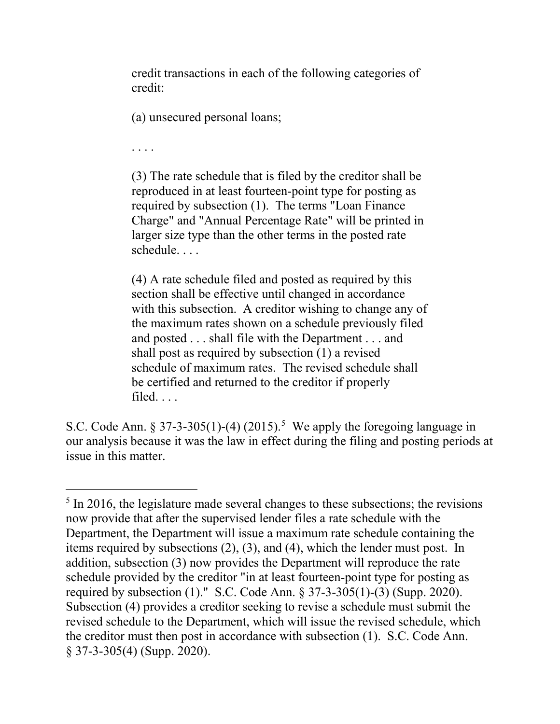credit transactions in each of the following categories of credit:

(a) unsecured personal loans;

. . . .

(3) The rate schedule that is filed by the creditor shall be reproduced in at least fourteen-point type for posting as required by subsection (1). The terms "Loan Finance Charge" and "Annual Percentage Rate" will be printed in larger size type than the other terms in the posted rate schedule. . . .

(4) A rate schedule filed and posted as required by this section shall be effective until changed in accordance with this subsection. A creditor wishing to change any of the maximum rates shown on a schedule previously filed and posted . . . shall file with the Department . . . and shall post as required by subsection (1) a revised schedule of maximum rates. The revised schedule shall be certified and returned to the creditor if properly filed. . . .

S.C. Code Ann.  $\S 37-3-305(1)-(4)$  $\S 37-3-305(1)-(4)$  $\S 37-3-305(1)-(4)$  (2015).<sup>5</sup> We apply the foregoing language in our analysis because it was the law in effect during the filing and posting periods at issue in this matter.

<span id="page-6-0"></span> $\overline{a}$  $<sup>5</sup>$  In 2016, the legislature made several changes to these subsections; the revisions</sup> now provide that after the supervised lender files a rate schedule with the Department, the Department will issue a maximum rate schedule containing the items required by subsections (2), (3), and (4), which the lender must post. In addition, subsection (3) now provides the Department will reproduce the rate schedule provided by the creditor "in at least fourteen-point type for posting as required by subsection (1)." S.C. Code Ann. § 37-3-305(1)-(3) (Supp. 2020). Subsection (4) provides a creditor seeking to revise a schedule must submit the revised schedule to the Department, which will issue the revised schedule, which the creditor must then post in accordance with subsection (1). S.C. Code Ann. § 37-3-305(4) (Supp. 2020).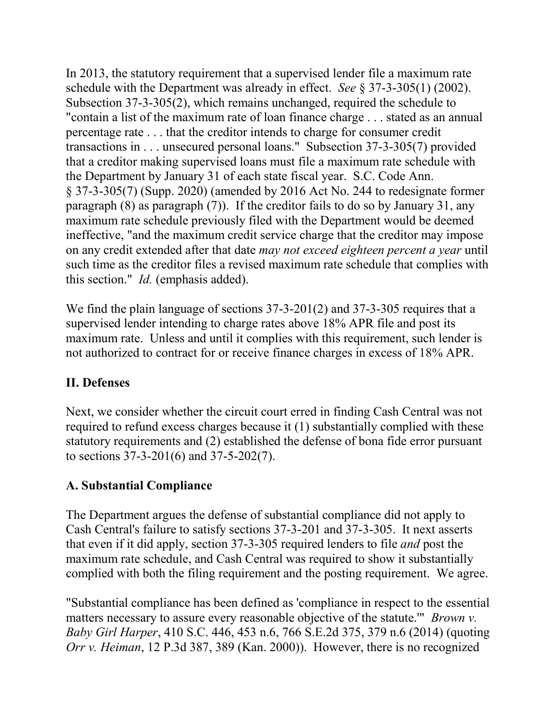In 2013, the statutory requirement that a supervised lender file a maximum rate schedule with the Department was already in effect. *See* § 37-3-305(1) (2002). Subsection 37-3-305(2), which remains unchanged, required the schedule to "contain a list of the maximum rate of loan finance charge . . . stated as an annual percentage rate . . . that the creditor intends to charge for consumer credit transactions in . . . unsecured personal loans." Subsection 37-3-305(7) provided that a creditor making supervised loans must file a maximum rate schedule with the Department by January 31 of each state fiscal year. S.C. Code Ann. § 37-3-305(7) (Supp. 2020) (amended by 2016 Act No. 244 to redesignate former paragraph (8) as paragraph (7)). If the creditor fails to do so by January 31, any maximum rate schedule previously filed with the Department would be deemed ineffective, "and the maximum credit service charge that the creditor may impose on any credit extended after that date *may not exceed eighteen percent a year* until such time as the creditor files a revised maximum rate schedule that complies with this section." *Id.* (emphasis added).

We find the plain language of sections 37-3-201(2) and 37-3-305 requires that a supervised lender intending to charge rates above 18% APR file and post its maximum rate. Unless and until it complies with this requirement, such lender is not authorized to contract for or receive finance charges in excess of 18% APR.

## **II. Defenses**

Next, we consider whether the circuit court erred in finding Cash Central was not required to refund excess charges because it (1) substantially complied with these statutory requirements and (2) established the defense of bona fide error pursuant to sections 37-3-201(6) and 37-5-202(7).

## **A. Substantial Compliance**

The Department argues the defense of substantial compliance did not apply to Cash Central's failure to satisfy sections 37-3-201 and 37-3-305. It next asserts that even if it did apply, section 37-3-305 required lenders to file *and* post the maximum rate schedule, and Cash Central was required to show it substantially complied with both the filing requirement and the posting requirement. We agree.

"Substantial compliance has been defined as 'compliance in respect to the essential matters necessary to assure every reasonable objective of the statute.'" *Brown v. Baby Girl Harper*, 410 S.C. 446, 453 n.6, 766 S.E.2d 375, 379 n.6 (2014) (quoting *Orr v. Heiman*, 12 P.3d 387, 389 (Kan. 2000)). However, there is no recognized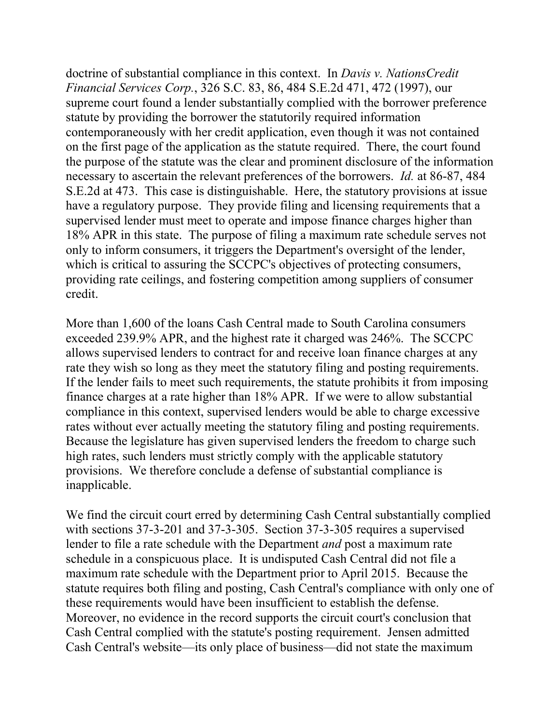doctrine of substantial compliance in this context. In *Davis v. NationsCredit Financial Services Corp.*, 326 S.C. 83, 86, 484 S.E.2d 471, 472 (1997), our supreme court found a lender substantially complied with the borrower preference statute by providing the borrower the statutorily required information contemporaneously with her credit application, even though it was not contained on the first page of the application as the statute required. There, the court found the purpose of the statute was the clear and prominent disclosure of the information necessary to ascertain the relevant preferences of the borrowers. *Id.* at 86-87, 484 S.E.2d at 473. This case is distinguishable. Here, the statutory provisions at issue have a regulatory purpose. They provide filing and licensing requirements that a supervised lender must meet to operate and impose finance charges higher than 18% APR in this state. The purpose of filing a maximum rate schedule serves not only to inform consumers, it triggers the Department's oversight of the lender, which is critical to assuring the SCCPC's objectives of protecting consumers, providing rate ceilings, and fostering competition among suppliers of consumer credit.

More than 1,600 of the loans Cash Central made to South Carolina consumers exceeded 239.9% APR, and the highest rate it charged was 246%. The SCCPC allows supervised lenders to contract for and receive loan finance charges at any rate they wish so long as they meet the statutory filing and posting requirements. If the lender fails to meet such requirements, the statute prohibits it from imposing finance charges at a rate higher than 18% APR. If we were to allow substantial compliance in this context, supervised lenders would be able to charge excessive rates without ever actually meeting the statutory filing and posting requirements. Because the legislature has given supervised lenders the freedom to charge such high rates, such lenders must strictly comply with the applicable statutory provisions. We therefore conclude a defense of substantial compliance is inapplicable.

We find the circuit court erred by determining Cash Central substantially complied with sections 37-3-201 and 37-3-305. Section 37-3-305 requires a supervised lender to file a rate schedule with the Department *and* post a maximum rate schedule in a conspicuous place. It is undisputed Cash Central did not file a maximum rate schedule with the Department prior to April 2015. Because the statute requires both filing and posting, Cash Central's compliance with only one of these requirements would have been insufficient to establish the defense. Moreover, no evidence in the record supports the circuit court's conclusion that Cash Central complied with the statute's posting requirement. Jensen admitted Cash Central's website—its only place of business—did not state the maximum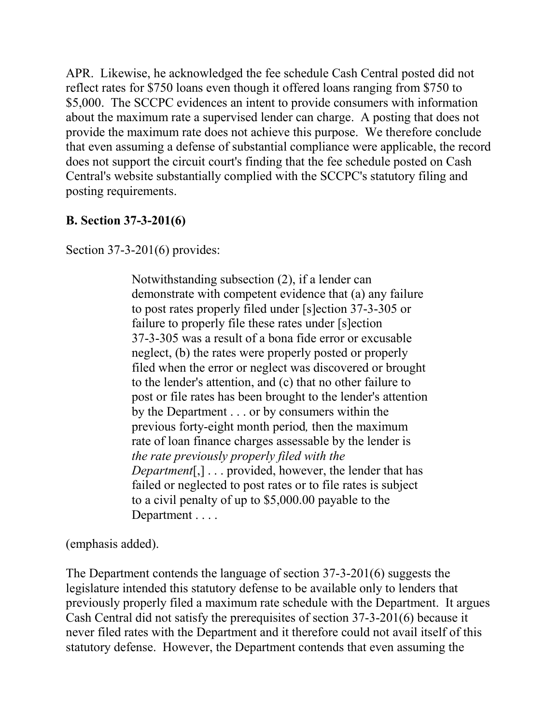APR. Likewise, he acknowledged the fee schedule Cash Central posted did not reflect rates for \$750 loans even though it offered loans ranging from \$750 to \$5,000. The SCCPC evidences an intent to provide consumers with information about the maximum rate a supervised lender can charge. A posting that does not provide the maximum rate does not achieve this purpose. We therefore conclude that even assuming a defense of substantial compliance were applicable, the record does not support the circuit court's finding that the fee schedule posted on Cash Central's website substantially complied with the SCCPC's statutory filing and posting requirements.

#### **B. Section 37-3-201(6)**

Section 37-3-201(6) provides:

Notwithstanding subsection (2), if a lender can demonstrate with competent evidence that (a) any failure to post rates properly filed under [s]ection 37-3-305 or failure to properly file these rates under [s]ection 37-3-305 was a result of a bona fide error or excusable neglect, (b) the rates were properly posted or properly filed when the error or neglect was discovered or brought to the lender's attention, and (c) that no other failure to post or file rates has been brought to the lender's attention by the Department . . . or by consumers within the previous forty-eight month period*,* then the maximum rate of loan finance charges assessable by the lender is *the rate previously properly filed with the Department*[,] . . . provided, however, the lender that has failed or neglected to post rates or to file rates is subject to a civil penalty of up to \$5,000.00 payable to the Department . . . .

(emphasis added).

The Department contends the language of section 37-3-201(6) suggests the legislature intended this statutory defense to be available only to lenders that previously properly filed a maximum rate schedule with the Department. It argues Cash Central did not satisfy the prerequisites of section 37-3-201(6) because it never filed rates with the Department and it therefore could not avail itself of this statutory defense. However, the Department contends that even assuming the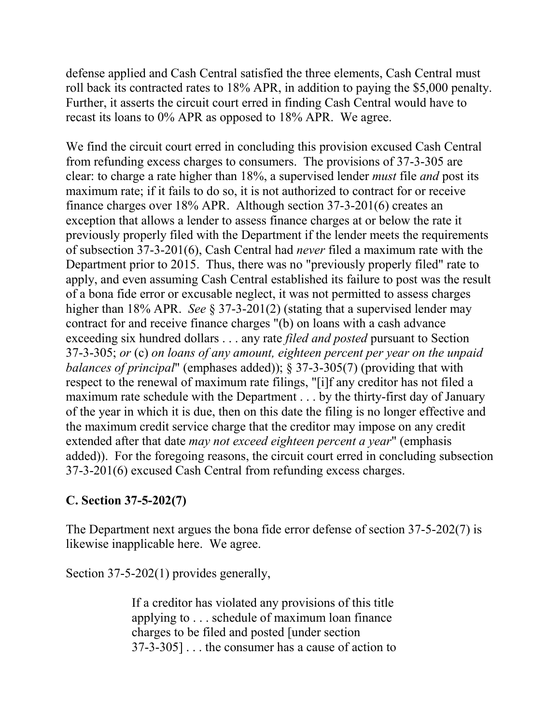defense applied and Cash Central satisfied the three elements, Cash Central must roll back its contracted rates to 18% APR, in addition to paying the \$5,000 penalty. Further, it asserts the circuit court erred in finding Cash Central would have to recast its loans to 0% APR as opposed to 18% APR. We agree.

We find the circuit court erred in concluding this provision excused Cash Central from refunding excess charges to consumers. The provisions of 37-3-305 are clear: to charge a rate higher than 18%, a supervised lender *must* file *and* post its maximum rate; if it fails to do so, it is not authorized to contract for or receive finance charges over 18% APR. Although section 37-3-201(6) creates an exception that allows a lender to assess finance charges at or below the rate it previously properly filed with the Department if the lender meets the requirements of subsection 37-3-201(6), Cash Central had *never* filed a maximum rate with the Department prior to 2015. Thus, there was no "previously properly filed" rate to apply, and even assuming Cash Central established its failure to post was the result of a bona fide error or excusable neglect, it was not permitted to assess charges higher than 18% APR. *See* § 37-3-201(2) (stating that a supervised lender may contract for and receive finance charges "(b) on loans with a cash advance exceeding six hundred dollars . . . any rate *filed and posted* pursuant to Section 37-3-305; *or* (c) *on loans of any amount, eighteen percent per year on the unpaid balances of principal*" (emphases added)); § 37-3-305(7) (providing that with respect to the renewal of maximum rate filings, "[i]f any creditor has not filed a maximum rate schedule with the Department . . . by the thirty-first day of January of the year in which it is due, then on this date the filing is no longer effective and the maximum credit service charge that the creditor may impose on any credit extended after that date *may not exceed eighteen percent a year*" (emphasis added)). For the foregoing reasons, the circuit court erred in concluding subsection 37-3-201(6) excused Cash Central from refunding excess charges.

#### **C. Section 37-5-202(7)**

The Department next argues the bona fide error defense of section 37-5-202(7) is likewise inapplicable here. We agree.

Section 37-5-202(1) provides generally,

If a creditor has violated any provisions of this title applying to . . . schedule of maximum loan finance charges to be filed and posted [under section 37-3-305] . . . the consumer has a cause of action to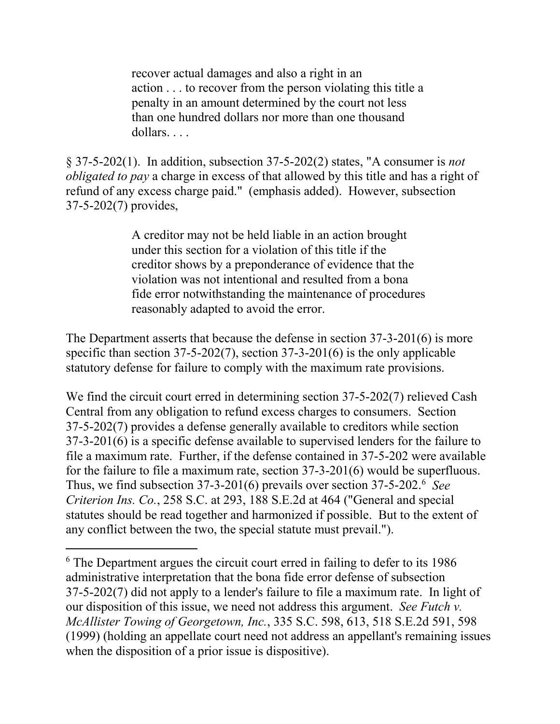recover actual damages and also a right in an action . . . to recover from the person violating this title a penalty in an amount determined by the court not less than one hundred dollars nor more than one thousand dollars. . . .

§ 37-5-202(1). In addition, subsection 37-5-202(2) states, "A consumer is *not obligated to pay* a charge in excess of that allowed by this title and has a right of refund of any excess charge paid." (emphasis added). However, subsection 37-5-202(7) provides,

> A creditor may not be held liable in an action brought under this section for a violation of this title if the creditor shows by a preponderance of evidence that the violation was not intentional and resulted from a bona fide error notwithstanding the maintenance of procedures reasonably adapted to avoid the error.

The Department asserts that because the defense in section 37-3-201(6) is more specific than section 37-5-202(7), section 37-3-201(6) is the only applicable statutory defense for failure to comply with the maximum rate provisions.

We find the circuit court erred in determining section 37-5-202(7) relieved Cash Central from any obligation to refund excess charges to consumers. Section 37-5-202(7) provides a defense generally available to creditors while section 37-3-201(6) is a specific defense available to supervised lenders for the failure to file a maximum rate. Further, if the defense contained in 37-5-202 were available for the failure to file a maximum rate, section 37-3-201(6) would be superfluous. Thus, we find subsection 37-3-201(6) prevails over section 37-5-202.[6](#page-11-0) *See Criterion Ins. Co.*, 258 S.C. at 293, 188 S.E.2d at 464 ("General and special statutes should be read together and harmonized if possible. But to the extent of any conflict between the two, the special statute must prevail.").

 $\overline{a}$ 

<span id="page-11-0"></span><sup>&</sup>lt;sup>6</sup> The Department argues the circuit court erred in failing to defer to its 1986 administrative interpretation that the bona fide error defense of subsection 37-5-202(7) did not apply to a lender's failure to file a maximum rate. In light of our disposition of this issue, we need not address this argument. *See Futch v. McAllister Towing of Georgetown, Inc.*, 335 S.C. 598, 613, 518 S.E.2d 591, 598 (1999) (holding an appellate court need not address an appellant's remaining issues when the disposition of a prior issue is dispositive).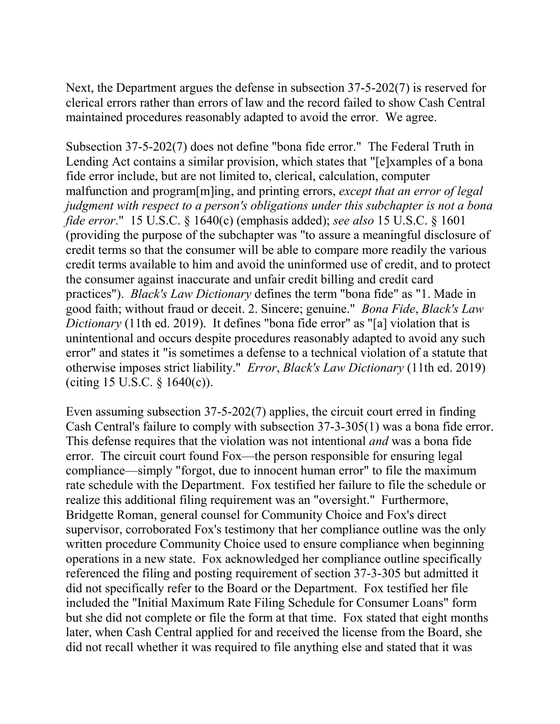Next, the Department argues the defense in subsection 37-5-202(7) is reserved for clerical errors rather than errors of law and the record failed to show Cash Central maintained procedures reasonably adapted to avoid the error. We agree.

Subsection 37-5-202(7) does not define "bona fide error." The Federal Truth in Lending Act contains a similar provision, which states that "[e]xamples of a bona fide error include, but are not limited to, clerical, calculation, computer malfunction and program[m]ing, and printing errors, *except that an error of legal judgment with respect to a person's obligations under this subchapter is not a bona fide error*." 15 U.S.C. § 1640(c) (emphasis added); *see also* 15 U.S.C. § 1601 (providing the purpose of the subchapter was "to assure a meaningful disclosure of credit terms so that the consumer will be able to compare more readily the various credit terms available to him and avoid the uninformed use of credit, and to protect the consumer against inaccurate and unfair credit billing and credit card practices"). *Black's Law Dictionary* defines the term "bona fide" as "1. Made in good faith; without fraud or deceit. 2. Sincere; genuine." *Bona Fide*, *Black's Law Dictionary* (11th ed. 2019). It defines "bona fide error" as "[a] violation that is unintentional and occurs despite procedures reasonably adapted to avoid any such error" and states it "is sometimes a defense to a technical violation of a statute that otherwise imposes strict liability." *Error*, *Black's Law Dictionary* (11th ed. 2019) (citing 15 U.S.C. § 1640(c)).

Even assuming subsection 37-5-202(7) applies, the circuit court erred in finding Cash Central's failure to comply with subsection 37-3-305(1) was a bona fide error. This defense requires that the violation was not intentional *and* was a bona fide error. The circuit court found Fox—the person responsible for ensuring legal compliance—simply "forgot, due to innocent human error" to file the maximum rate schedule with the Department. Fox testified her failure to file the schedule or realize this additional filing requirement was an "oversight." Furthermore, Bridgette Roman, general counsel for Community Choice and Fox's direct supervisor, corroborated Fox's testimony that her compliance outline was the only written procedure Community Choice used to ensure compliance when beginning operations in a new state. Fox acknowledged her compliance outline specifically referenced the filing and posting requirement of section 37-3-305 but admitted it did not specifically refer to the Board or the Department. Fox testified her file included the "Initial Maximum Rate Filing Schedule for Consumer Loans" form but she did not complete or file the form at that time. Fox stated that eight months later, when Cash Central applied for and received the license from the Board, she did not recall whether it was required to file anything else and stated that it was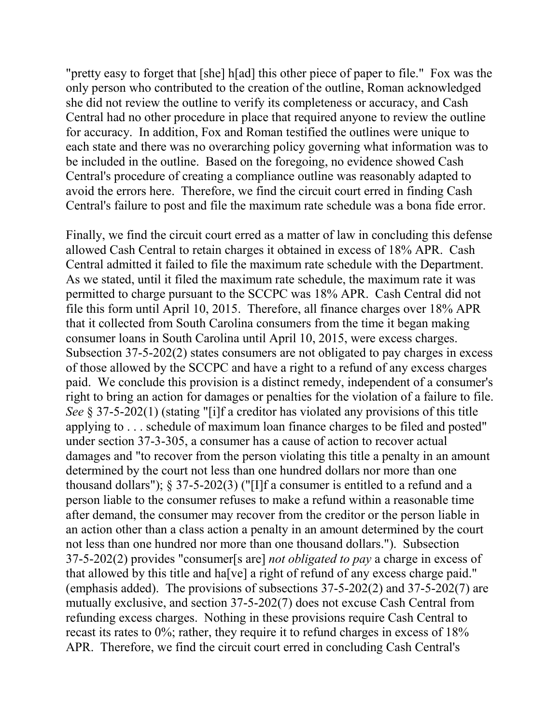"pretty easy to forget that [she] h[ad] this other piece of paper to file." Fox was the only person who contributed to the creation of the outline, Roman acknowledged she did not review the outline to verify its completeness or accuracy, and Cash Central had no other procedure in place that required anyone to review the outline for accuracy. In addition, Fox and Roman testified the outlines were unique to each state and there was no overarching policy governing what information was to be included in the outline. Based on the foregoing, no evidence showed Cash Central's procedure of creating a compliance outline was reasonably adapted to avoid the errors here. Therefore, we find the circuit court erred in finding Cash Central's failure to post and file the maximum rate schedule was a bona fide error.

Finally, we find the circuit court erred as a matter of law in concluding this defense allowed Cash Central to retain charges it obtained in excess of 18% APR. Cash Central admitted it failed to file the maximum rate schedule with the Department. As we stated, until it filed the maximum rate schedule, the maximum rate it was permitted to charge pursuant to the SCCPC was 18% APR. Cash Central did not file this form until April 10, 2015. Therefore, all finance charges over 18% APR that it collected from South Carolina consumers from the time it began making consumer loans in South Carolina until April 10, 2015, were excess charges. Subsection 37-5-202(2) states consumers are not obligated to pay charges in excess of those allowed by the SCCPC and have a right to a refund of any excess charges paid. We conclude this provision is a distinct remedy, independent of a consumer's right to bring an action for damages or penalties for the violation of a failure to file. *See* § 37-5-202(1) (stating "[i]f a creditor has violated any provisions of this title applying to . . . schedule of maximum loan finance charges to be filed and posted" under section 37-3-305, a consumer has a cause of action to recover actual damages and "to recover from the person violating this title a penalty in an amount determined by the court not less than one hundred dollars nor more than one thousand dollars");  $\S 37-5-202(3)$  ("[I]f a consumer is entitled to a refund and a person liable to the consumer refuses to make a refund within a reasonable time after demand, the consumer may recover from the creditor or the person liable in an action other than a class action a penalty in an amount determined by the court not less than one hundred nor more than one thousand dollars."). Subsection 37-5-202(2) provides "consumer[s are] *not obligated to pay* a charge in excess of that allowed by this title and ha[ve] a right of refund of any excess charge paid." (emphasis added). The provisions of subsections 37-5-202(2) and 37-5-202(7) are mutually exclusive, and section 37-5-202(7) does not excuse Cash Central from refunding excess charges. Nothing in these provisions require Cash Central to recast its rates to 0%; rather, they require it to refund charges in excess of 18% APR. Therefore, we find the circuit court erred in concluding Cash Central's